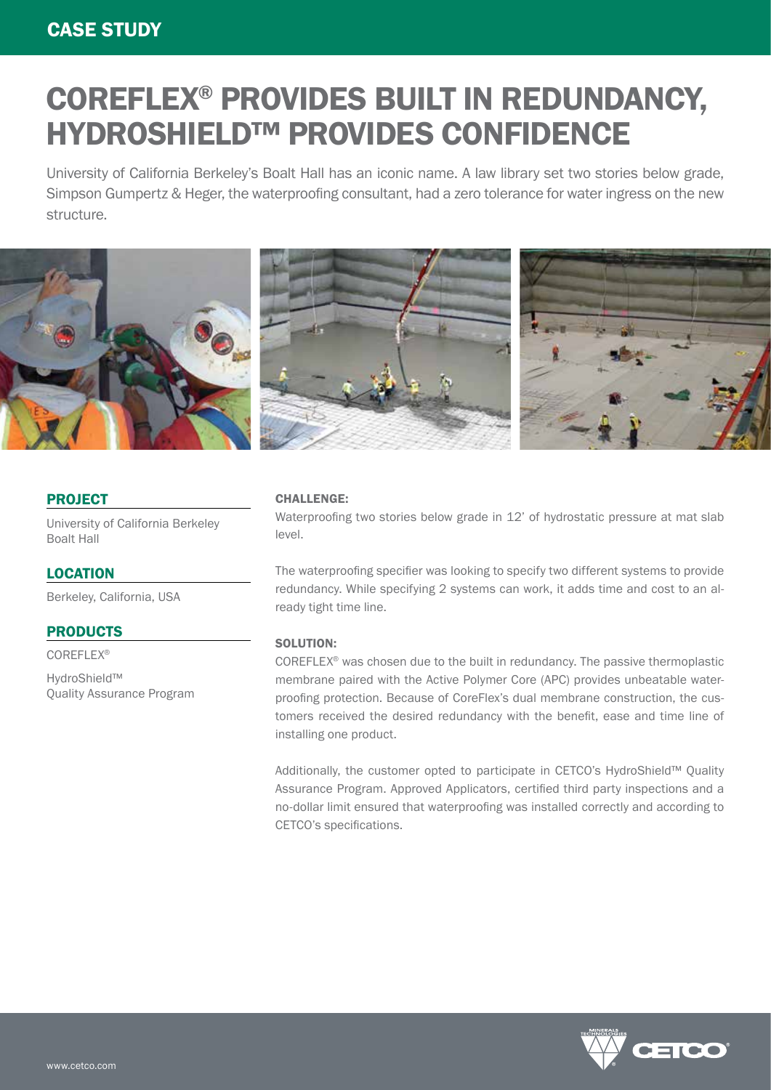# COREFLEX® PROVIDES BUILT IN REDUNDANCY, HYDROSHIELD™ PROVIDES CONFIDENCE

University of California Berkeley's Boalt Hall has an iconic name. A law library set two stories below grade, Simpson Gumpertz & Heger, the waterproofing consultant, had a zero tolerance for water ingress on the new structure.



#### PROJECT

University of California Berkeley Boalt Hall

### **LOCATION**

Berkeley, California, USA

## PRODUCTS

COREFLEX®

HydroShield™ Quality Assurance Program

#### CHALLENGE:

Waterproofing two stories below grade in 12' of hydrostatic pressure at mat slab level.

The waterproofing specifier was looking to specify two different systems to provide redundancy. While specifying 2 systems can work, it adds time and cost to an already tight time line.

#### SOLUTION:

COREFLEX® was chosen due to the built in redundancy. The passive thermoplastic membrane paired with the Active Polymer Core (APC) provides unbeatable waterproofing protection. Because of CoreFlex's dual membrane construction, the customers received the desired redundancy with the benefit, ease and time line of installing one product.

Additionally, the customer opted to participate in CETCO's HydroShield™ Quality Assurance Program. Approved Applicators, certified third party inspections and a no-dollar limit ensured that waterproofing was installed correctly and according to CETCO's specifications.